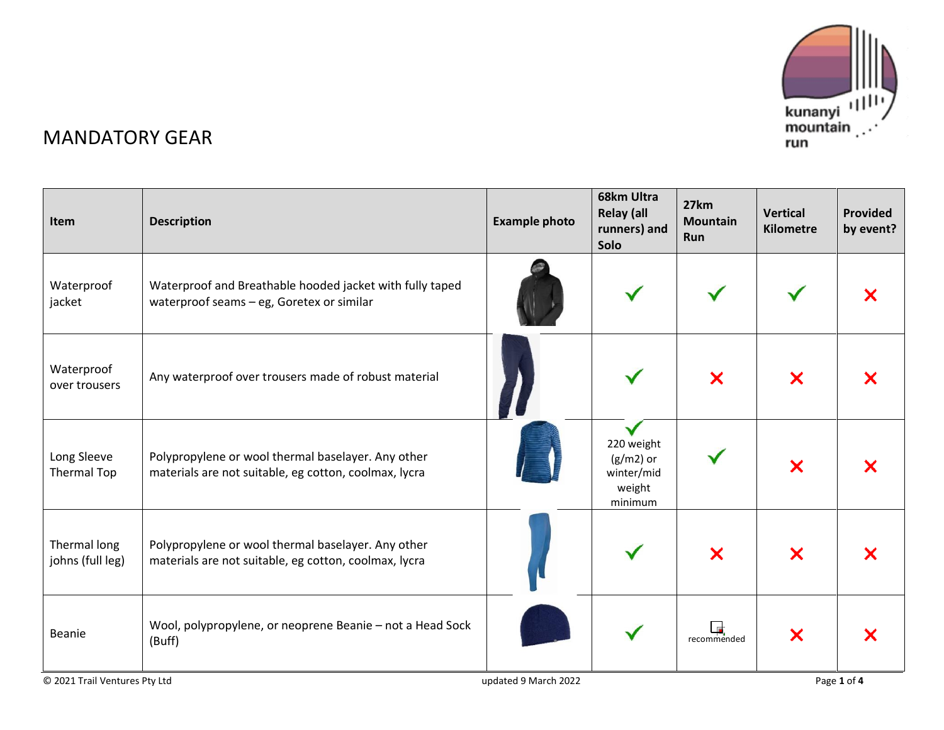

## MANDATORY GEAR

| <b>Item</b>                      | <b>Description</b>                                                                                          | <b>Example photo</b> | 68km Ultra<br><b>Relay (all</b><br>runners) and<br>Solo                      | 27km<br><b>Mountain</b><br>Run | Vertical<br><b>Kilometre</b> | Provided<br>by event? |
|----------------------------------|-------------------------------------------------------------------------------------------------------------|----------------------|------------------------------------------------------------------------------|--------------------------------|------------------------------|-----------------------|
| Waterproof<br>jacket             | Waterproof and Breathable hooded jacket with fully taped<br>waterproof seams - eg, Goretex or similar       |                      |                                                                              |                                |                              | X                     |
| Waterproof<br>over trousers      | Any waterproof over trousers made of robust material                                                        |                      |                                                                              | $\boldsymbol{\mathsf{x}}$      | ×                            |                       |
| Long Sleeve<br>Thermal Top       | Polypropylene or wool thermal baselayer. Any other<br>materials are not suitable, eg cotton, coolmax, lycra |                      | $\checkmark$<br>220 weight<br>$(g/m2)$ or<br>winter/mid<br>weight<br>minimum |                                | ×                            | Х                     |
| Thermal long<br>johns (full leg) | Polypropylene or wool thermal baselayer. Any other<br>materials are not suitable, eg cotton, coolmax, lycra |                      |                                                                              | $\boldsymbol{\mathsf{x}}$      | ×                            | Х                     |
| Beanie                           | Wool, polypropylene, or neoprene Beanie - not a Head Sock<br>(Buff)                                         |                      |                                                                              | recommended                    | ×                            | x                     |
| C 2021 Trail Ventures Pty Ltd    |                                                                                                             | updated 9 March 2022 |                                                                              |                                |                              | Page 1 of 4           |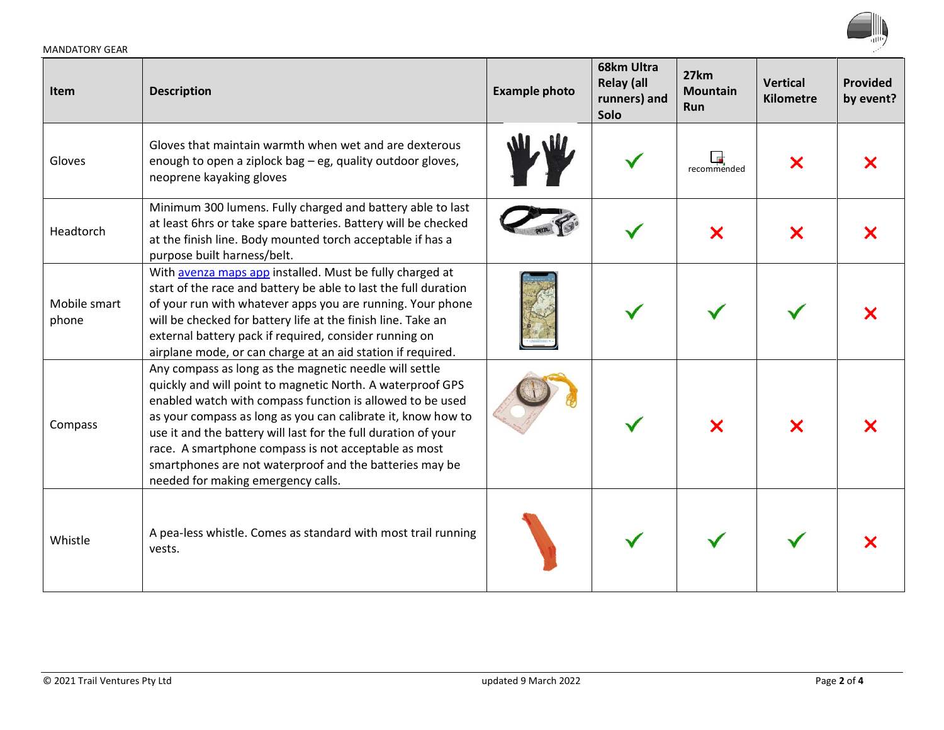

**Provided by event?**

 $\boldsymbol{\mathsf{x}}$ 

 $\boldsymbol{\mathsf{x}}$ 

 $\boldsymbol{\mathsf{x}}$ 

 $\boldsymbol{\mathsf{x}}$ 

 $\boldsymbol{\mathsf{x}}$ 

| Item                  | <b>Description</b>                                                                                                                                                                                                                                                                                                                                                                                                                                                           | <b>Example photo</b> | <b>Relay (all</b><br>runners) and<br><b>Solo</b> | 27 <sub>Km</sub><br><b>Mountain</b><br>Run | <b>Vertical</b><br><b>Kilometre</b> |
|-----------------------|------------------------------------------------------------------------------------------------------------------------------------------------------------------------------------------------------------------------------------------------------------------------------------------------------------------------------------------------------------------------------------------------------------------------------------------------------------------------------|----------------------|--------------------------------------------------|--------------------------------------------|-------------------------------------|
| Gloves                | Gloves that maintain warmth when wet and are dexterous<br>enough to open a ziplock bag - eg, quality outdoor gloves,<br>neoprene kayaking gloves                                                                                                                                                                                                                                                                                                                             |                      |                                                  | recommended                                |                                     |
| Headtorch             | Minimum 300 lumens. Fully charged and battery able to last<br>at least 6hrs or take spare batteries. Battery will be checked<br>at the finish line. Body mounted torch acceptable if has a<br>purpose built harness/belt.                                                                                                                                                                                                                                                    |                      |                                                  | ×                                          | Х                                   |
| Mobile smart<br>phone | With avenza maps app installed. Must be fully charged at<br>start of the race and battery be able to last the full duration<br>of your run with whatever apps you are running. Your phone<br>will be checked for battery life at the finish line. Take an<br>external battery pack if required, consider running on<br>airplane mode, or can charge at an aid station if required.                                                                                           |                      |                                                  |                                            |                                     |
| Compass               | Any compass as long as the magnetic needle will settle<br>quickly and will point to magnetic North. A waterproof GPS<br>enabled watch with compass function is allowed to be used<br>as your compass as long as you can calibrate it, know how to<br>use it and the battery will last for the full duration of your<br>race. A smartphone compass is not acceptable as most<br>smartphones are not waterproof and the batteries may be<br>needed for making emergency calls. |                      |                                                  | ×                                          | X                                   |
| Whistle               | A pea-less whistle. Comes as standard with most trail running<br>vests                                                                                                                                                                                                                                                                                                                                                                                                       |                      |                                                  |                                            |                                     |

vests.

MANDATORY GEAR

**68km Ultra** 

**27km**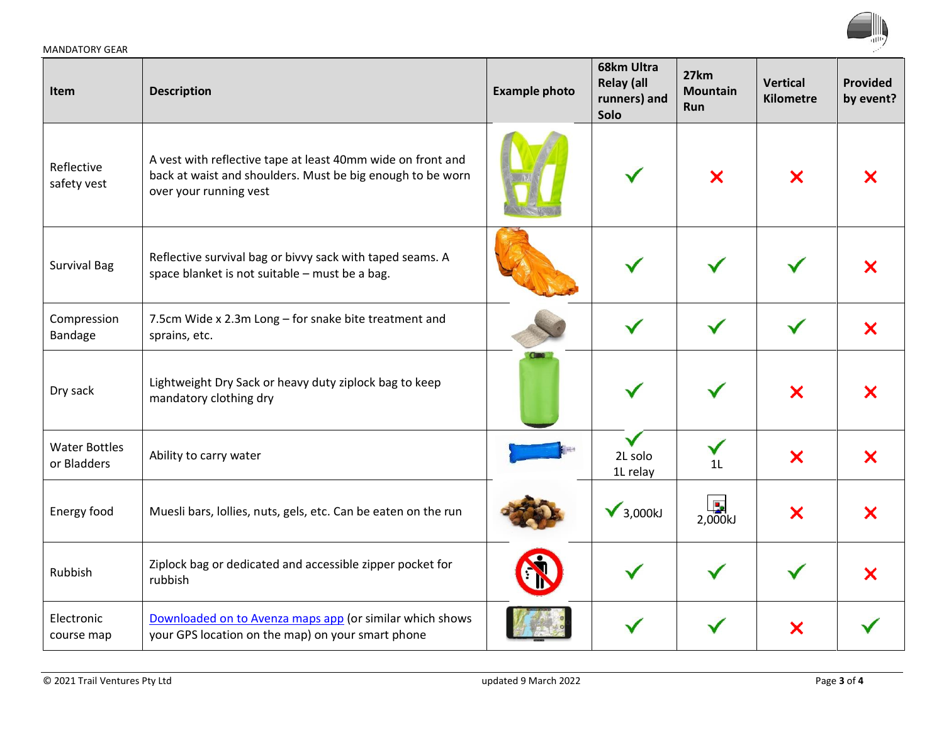

| <b>MANDATORY GEAR</b>               |                                                                                                                                                     |                      |                                                         |                                                      |                                     | $\mathcal{L}$         |
|-------------------------------------|-----------------------------------------------------------------------------------------------------------------------------------------------------|----------------------|---------------------------------------------------------|------------------------------------------------------|-------------------------------------|-----------------------|
| <b>Item</b>                         | <b>Description</b>                                                                                                                                  | <b>Example photo</b> | 68km Ultra<br><b>Relay (all</b><br>runners) and<br>Solo | 27km<br><b>Mountain</b><br>Run                       | <b>Vertical</b><br><b>Kilometre</b> | Provided<br>by event? |
| Reflective<br>safety vest           | A vest with reflective tape at least 40mm wide on front and<br>back at waist and shoulders. Must be big enough to be worn<br>over your running vest |                      |                                                         | X                                                    | X                                   | Х                     |
| <b>Survival Bag</b>                 | Reflective survival bag or bivvy sack with taped seams. A<br>space blanket is not suitable - must be a bag.                                         |                      |                                                         |                                                      |                                     | X                     |
| Compression<br>Bandage              | 7.5cm Wide x 2.3m Long - for snake bite treatment and<br>sprains, etc.                                                                              |                      |                                                         |                                                      |                                     | ×                     |
| Dry sack                            | Lightweight Dry Sack or heavy duty ziplock bag to keep<br>mandatory clothing dry                                                                    |                      |                                                         |                                                      | ×                                   | X                     |
| <b>Water Bottles</b><br>or Bladders | Ability to carry water                                                                                                                              |                      | 2L solo<br>1L relay                                     | 1 <sub>L</sub>                                       | ×                                   | ×                     |
| Energy food                         | Muesli bars, lollies, nuts, gels, etc. Can be eaten on the run                                                                                      |                      | $\sqrt{3,000kJ}$                                        | $\begin{array}{c} \boxed{12} \\ 2,000kJ \end{array}$ | ×                                   | X                     |
| Rubbish                             | Ziplock bag or dedicated and accessible zipper pocket for<br>rubbish                                                                                |                      |                                                         |                                                      |                                     | X                     |
| Electronic<br>course map            | Downloaded on to Avenza maps app (or similar which shows<br>your GPS location on the map) on your smart phone                                       |                      |                                                         |                                                      | X                                   |                       |